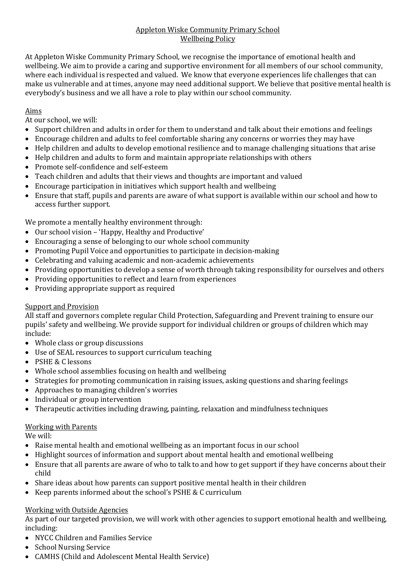## Appleton Wiske Community Primary School Wellbeing Policy

At Appleton Wiske Community Primary School, we recognise the importance of emotional health and wellbeing. We aim to provide a caring and supportive environment for all members of our school community, where each individual is respected and valued. We know that everyone experiences life challenges that can make us vulnerable and at times, anyone may need additional support. We believe that positive mental health is everybody's business and we all have a role to play within our school community.

# Aims

At our school, we will:

- Support children and adults in order for them to understand and talk about their emotions and feelings
- Encourage children and adults to feel comfortable sharing any concerns or worries they may have
- Help children and adults to develop emotional resilience and to manage challenging situations that arise
- Help children and adults to form and maintain appropriate relationships with others
- Promote self-confidence and self-esteem
- Teach children and adults that their views and thoughts are important and valued
- Encourage participation in initiatives which support health and wellbeing
- Ensure that staff, pupils and parents are aware of what support is available within our school and how to access further support.

We promote a mentally healthy environment through:

- Our school vision 'Happy, Healthy and Productive'
- Encouraging a sense of belonging to our whole school community
- Promoting Pupil Voice and opportunities to participate in decision-making
- Celebrating and valuing academic and non-academic achievements
- Providing opportunities to develop a sense of worth through taking responsibility for ourselves and others
- Providing opportunities to reflect and learn from experiences
- Providing appropriate support as required

## Support and Provision

All staff and governors complete regular Child Protection, Safeguarding and Prevent training to ensure our pupils' safety and wellbeing. We provide support for individual children or groups of children which may include:

- Whole class or group discussions
- Use of SEAL resources to support curriculum teaching
- PSHE & C lessons
- Whole school assemblies focusing on health and wellbeing
- Strategies for promoting communication in raising issues, asking questions and sharing feelings
- Approaches to managing children's worries
- Individual or group intervention
- Therapeutic activities including drawing, painting, relaxation and mindfulness techniques

#### Working with Parents

We will:

- Raise mental health and emotional wellbeing as an important focus in our school
- Highlight sources of information and support about mental health and emotional wellbeing
- Ensure that all parents are aware of who to talk to and how to get support if they have concerns about their child
- Share ideas about how parents can support positive mental health in their children
- Keep parents informed about the school's PSHE & C curriculum

# Working with Outside Agencies

As part of our targeted provision, we will work with other agencies to support emotional health and wellbeing, including:

- NYCC Children and Families Service
- School Nursing Service
- CAMHS (Child and Adolescent Mental Health Service)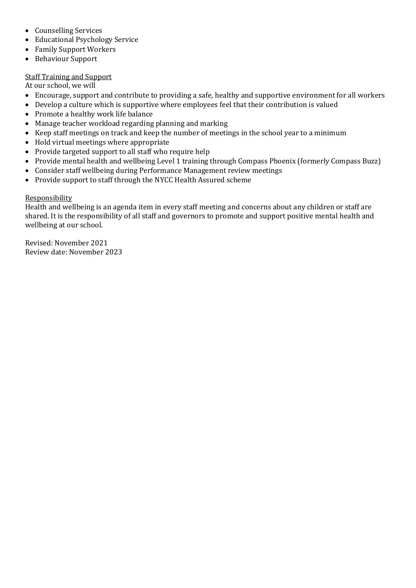- Counselling Services
- Educational Psychology Service
- Family Support Workers
- Behaviour Support

# Staff Training and Support

At our school, we will

- Encourage, support and contribute to providing a safe, healthy and supportive environment for all workers
- Develop a culture which is supportive where employees feel that their contribution is valued
- Promote a healthy work life balance
- Manage teacher workload regarding planning and marking
- Keep staff meetings on track and keep the number of meetings in the school year to a minimum
- Hold virtual meetings where appropriate
- Provide targeted support to all staff who require help
- Provide mental health and wellbeing Level 1 training through Compass Phoenix (formerly Compass Buzz)
- Consider staff wellbeing during Performance Management review meetings
- Provide support to staff through the NYCC Health Assured scheme

## Responsibility

Health and wellbeing is an agenda item in every staff meeting and concerns about any children or staff are shared. It is the responsibility of all staff and governors to promote and support positive mental health and wellbeing at our school.

Revised: November 2021 Review date: November 2023